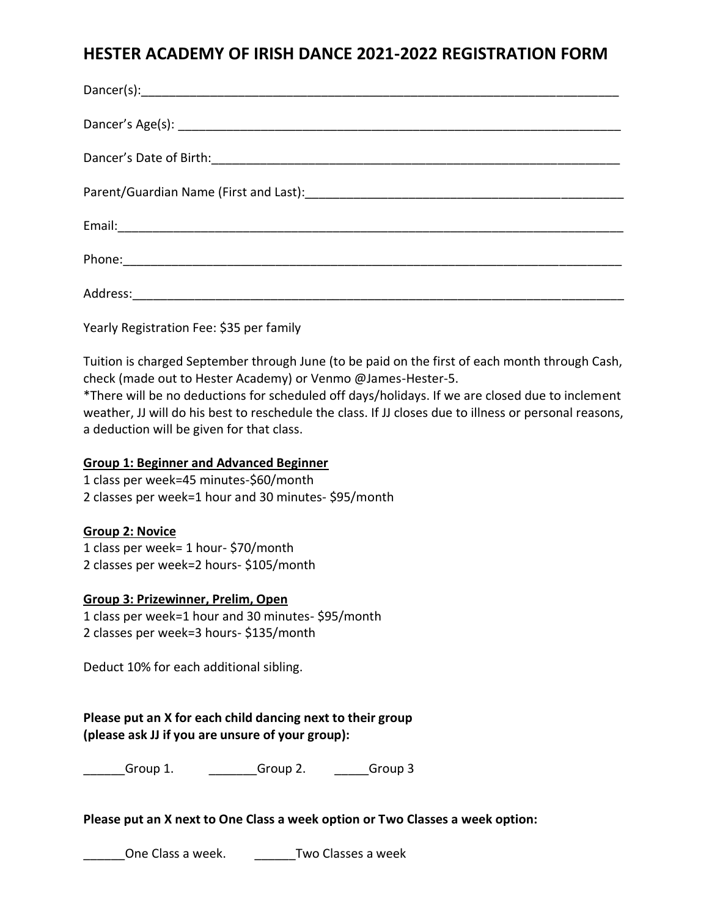# **HESTER ACADEMY OF IRISH DANCE 2021-2022 REGISTRATION FORM**

Yearly Registration Fee: \$35 per family

Tuition is charged September through June (to be paid on the first of each month through Cash, check (made out to Hester Academy) or Venmo @James-Hester-5.

\*There will be no deductions for scheduled off days/holidays. If we are closed due to inclement weather, JJ will do his best to reschedule the class. If JJ closes due to illness or personal reasons, a deduction will be given for that class.

## **Group 1: Beginner and Advanced Beginner**

1 class per week=45 minutes-\$60/month 2 classes per week=1 hour and 30 minutes- \$95/month

## **Group 2: Novice**

1 class per week= 1 hour- \$70/month 2 classes per week=2 hours- \$105/month

# **Group 3: Prizewinner, Prelim, Open**

1 class per week=1 hour and 30 minutes- \$95/month 2 classes per week=3 hours- \$135/month

Deduct 10% for each additional sibling.

# **Please put an X for each child dancing next to their group (please ask JJ if you are unsure of your group):**

Group 1. Croup 2. Group 3

## **Please put an X next to One Class a week option or Two Classes a week option:**

One Class a week. Two Classes a week